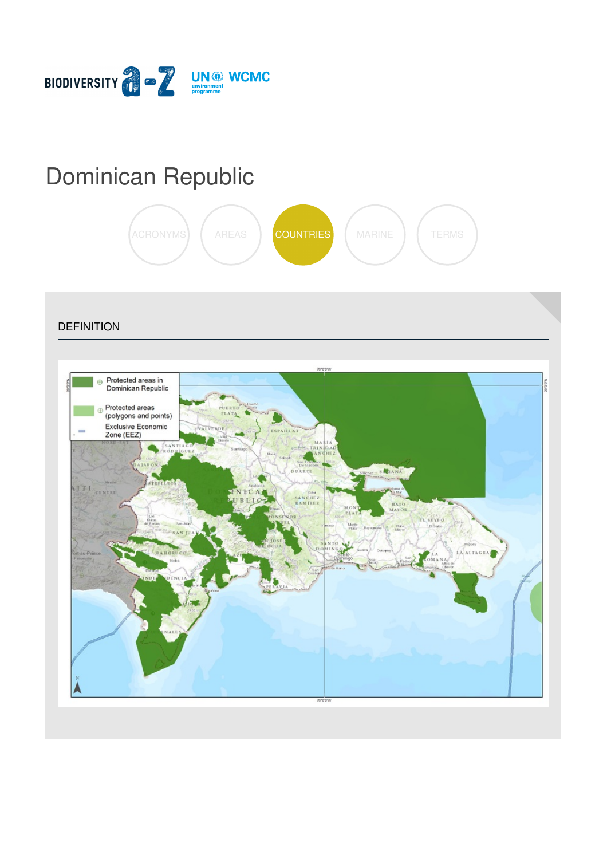

# [Dominican](https://biodiversitya-z.org/content/dominican-republic) Republic



**DEFINITION** 

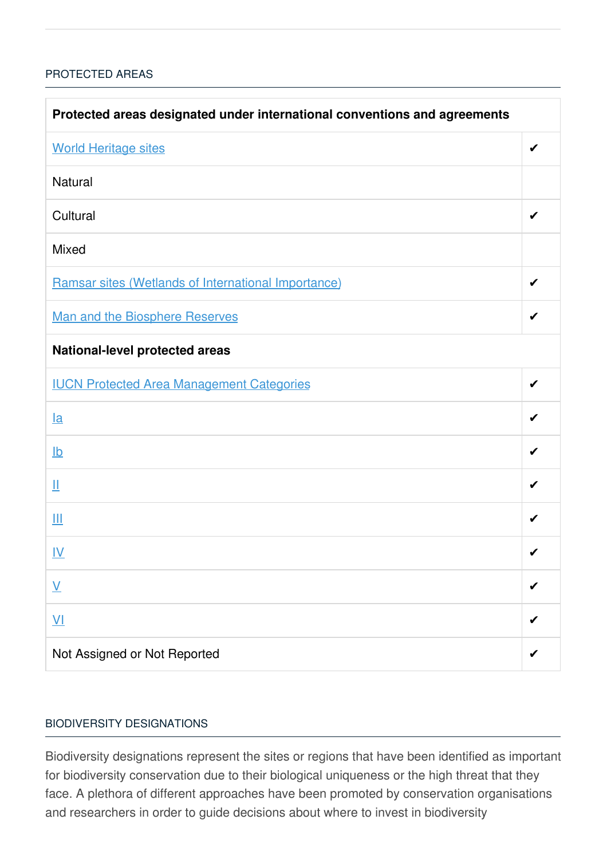## [PROTECTED](javascript:void(0)) AREAS

| Protected areas designated under international conventions and agreements |   |  |
|---------------------------------------------------------------------------|---|--|
| <b>World Heritage sites</b>                                               | ✔ |  |
| <b>Natural</b>                                                            |   |  |
| Cultural                                                                  |   |  |
| <b>Mixed</b>                                                              |   |  |
| Ramsar sites (Wetlands of International Importance)                       | ✔ |  |
| <b>Man and the Biosphere Reserves</b>                                     | ✔ |  |
| <b>National-level protected areas</b>                                     |   |  |
| <b>IUCN Protected Area Management Categories</b>                          | ✔ |  |
| $l$ a                                                                     |   |  |
| $\underline{\mathsf{lb}}$                                                 | ✔ |  |
| Щ                                                                         | ✔ |  |
| Ш                                                                         | ✔ |  |
| <u>IV</u>                                                                 | ✔ |  |
| $\underline{\mathsf{V}}$                                                  |   |  |
| $\underline{\mathsf{V}}$                                                  |   |  |
| Not Assigned or Not Reported                                              |   |  |

## BIODIVERSITY [DESIGNATIONS](javascript:void(0))

Biodiversity designations represent the sites or regions that have been identified as important for biodiversity conservation due to their biological uniqueness or the high threat that they face. A plethora of different approaches have been promoted by conservation organisations and researchers in order to guide decisions about where to invest in biodiversity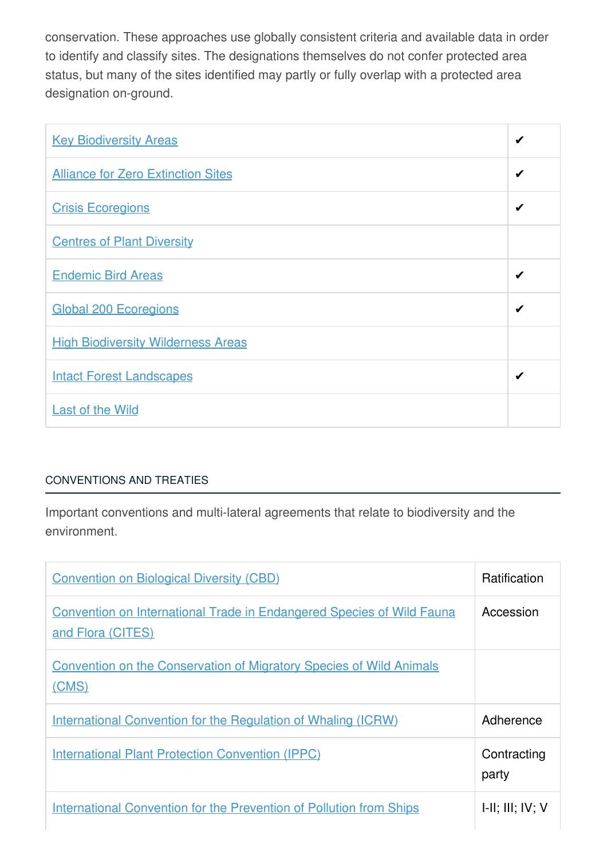conservation. These approaches use globally consistent criteria and available data in order to identify and classify sites. The designations themselves do not confer protected area status, but many of the sites identified may partly or fully overlap with a protected area designation on-ground.

| <b>Key Biodiversity Areas</b>             | ✔ |
|-------------------------------------------|---|
| <b>Alliance for Zero Extinction Sites</b> | ✔ |
| <b>Crisis Ecoregions</b>                  | ✔ |
| <b>Centres of Plant Diversity</b>         |   |
| <b>Endemic Bird Areas</b>                 | ✔ |
| <b>Global 200 Ecoregions</b>              | ✔ |
| <b>High Biodiversity Wilderness Areas</b> |   |
| <b>Intact Forest Landscapes</b>           | ✔ |
| <b>Last of the Wild</b>                   |   |

# [CONVENTIONS](javascript:void(0)) AND TREATIES

Important conventions and multi-lateral agreements that relate to biodiversity and the environment.

| <b>Convention on Biological Diversity (CBD)</b>                                                   | <b>Ratification</b>         |
|---------------------------------------------------------------------------------------------------|-----------------------------|
| <b>Convention on International Trade in Endangered Species of Wild Fauna</b><br>and Flora (CITES) | Accession                   |
| <b>Convention on the Conservation of Migratory Species of Wild Animals</b><br>(CMS)               |                             |
| <b>International Convention for the Regulation of Whaling (ICRW)</b>                              | Adherence                   |
| <b>International Plant Protection Convention (IPPC)</b>                                           | Contracting<br>party        |
| <b>International Convention for the Prevention of Pollution from Ships</b>                        | $I-II$ ; $III$ ; $IV$ ; $V$ |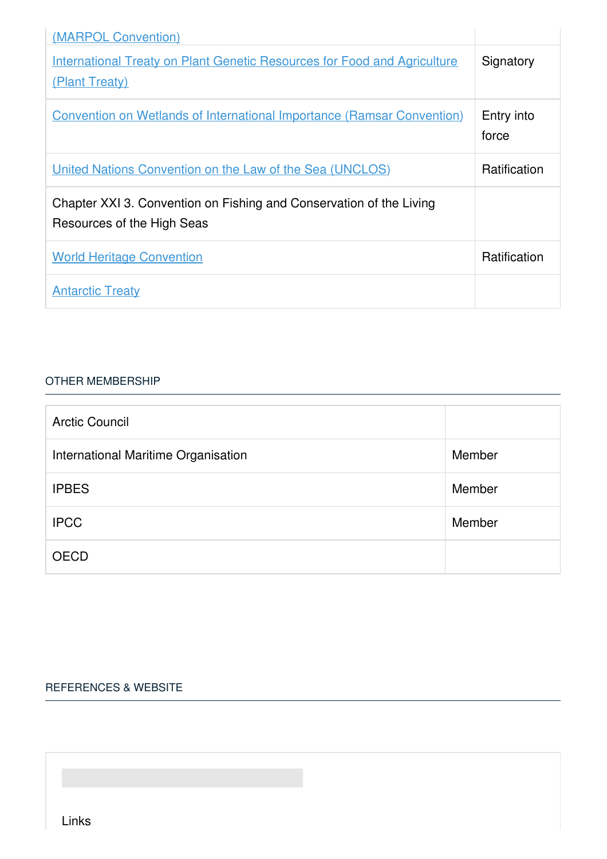| (MARPOL Convention)                                                                               |                     |
|---------------------------------------------------------------------------------------------------|---------------------|
| <b>International Treaty on Plant Genetic Resources for Food and Agriculture</b><br>(Plant Treaty) | Signatory           |
| <b>Convention on Wetlands of International Importance (Ramsar Convention)</b>                     | Entry into<br>force |
| United Nations Convention on the Law of the Sea (UNCLOS)                                          | Ratification        |
| Chapter XXI 3. Convention on Fishing and Conservation of the Living<br>Resources of the High Seas |                     |
| <b>World Heritage Convention</b>                                                                  | Ratification        |
| <b>Antarctic Treaty</b>                                                                           |                     |

### OTHER [MEMBERSHIP](javascript:void(0))

| <b>Arctic Council</b>               |        |
|-------------------------------------|--------|
| International Maritime Organisation | Member |
| <b>IPBES</b>                        | Member |
| <b>IPCC</b>                         | Member |
| <b>OECD</b>                         |        |

### [REFERENCES](javascript:void(0)) & WEBSITE